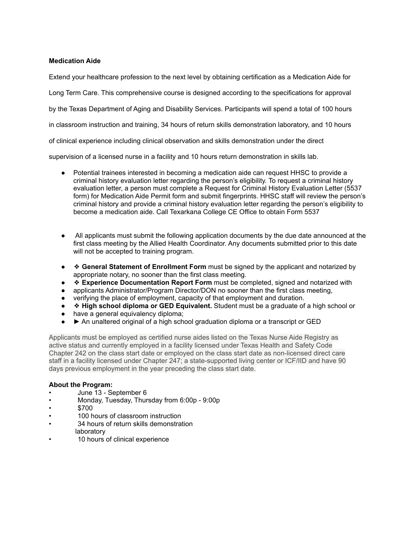## **Medication Aide**

Extend your healthcare profession to the next level by obtaining certification as a Medication Aide for

Long Term Care. This comprehensive course is designed according to the specifications for approval

by the Texas Department of Aging and Disability Services. Participants will spend a total of 100 hours

in classroom instruction and training, 34 hours of return skills demonstration laboratory, and 10 hours

of clinical experience including clinical observation and skills demonstration under the direct

supervision of a licensed nurse in a facility and 10 hours return demonstration in skills lab.

- Potential trainees interested in becoming a medication aide can request HHSC to provide a criminal history evaluation letter regarding the person's eligibility. To request a criminal history evaluation letter, a person must complete a Request for Criminal History Evaluation Letter (5537 form) for Medication Aide Permit form and submit fingerprints. HHSC staff will review the person's criminal history and provide a criminal history evaluation letter regarding the person's eligibility to become a medication aide. Call Texarkana College CE Office to obtain Form 5537
- All applicants must submit the following application documents by the due date announced at the first class meeting by the Allied Health Coordinator. Any documents submitted prior to this date will not be accepted to training program.
- ❖ **General Statement of Enrollment Form** must be signed by the applicant and notarized by appropriate notary, no sooner than the first class meeting.
- **Experience Documentation Report Form** must be completed, signed and notarized with
- applicants Administrator/Program Director/DON no sooner than the first class meeting,
- verifying the place of employment, capacity of that employment and duration.
- ◆ **High school diploma or GED Equivalent.** Student must be a graduate of a high school or
- have a general equivalency diploma;
- ▶ An unaltered original of a high school graduation diploma or a transcript or GED

Applicants must be employed as certified nurse aides listed on the Texas Nurse Aide Registry as active status and currently employed in a facility licensed under Texas Health and Safety Code Chapter 242 on the class start date or employed on the class start date as non-licensed direct care staff in a facility licensed under Chapter 247; a state-supported living center or ICF/IID and have 90 days previous employment in the year preceding the class start date.

## **About the Program:**

- June 13 September 6
- Monday, Tuesday, Thursday from 6:00p 9:00p
- \$700
- 100 hours of classroom instruction
- 34 hours of return skills demonstration laboratory
- 10 hours of clinical experience